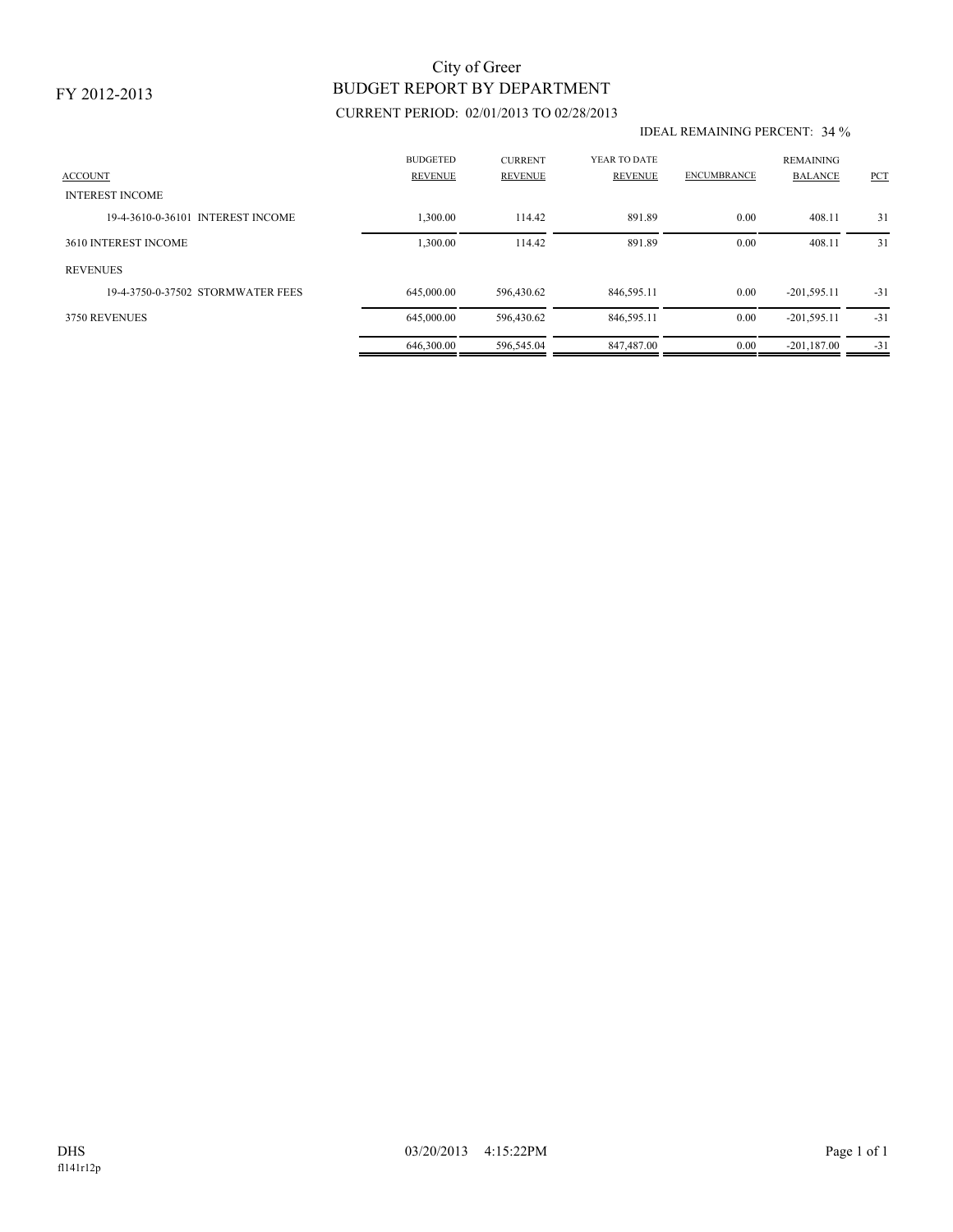# BUDGET REPORT BY DEPARTMENT City of Greer

### CURRENT PERIOD: 02/01/2013 TO 02/28/2013

#### IDEAL REMAINING PERCENT: 34 %

| <b>ACCOUNT</b>                    | <b>BUDGETED</b><br><b>REVENUE</b> | <b>CURRENT</b><br><b>REVENUE</b> | YEAR TO DATE<br>REVENUE | <b>ENCUMBRANCE</b> | <b>REMAINING</b><br><b>BALANCE</b> | <b>PCT</b> |
|-----------------------------------|-----------------------------------|----------------------------------|-------------------------|--------------------|------------------------------------|------------|
| <b>INTEREST INCOME</b>            |                                   |                                  |                         |                    |                                    |            |
| 19-4-3610-0-36101 INTEREST INCOME | ,300.00                           | 114.42                           | 891.89                  | 0.00               | 408.11                             | 31         |
| 3610 INTEREST INCOME              | 1,300.00                          | 114.42                           | 891.89                  | 0.00               | 408.11                             | 31         |
| <b>REVENUES</b>                   |                                   |                                  |                         |                    |                                    |            |
| 19-4-3750-0-37502 STORMWATER FEES | 645,000.00                        | 596,430.62                       | 846,595.11              | 0.00               | $-201,595.11$                      | $-31$      |
| 3750 REVENUES                     | 645,000.00                        | 596,430.62                       | 846,595.11              | 0.00               | $-201,595.11$                      | $-31$      |
|                                   | 646,300.00                        | 596,545.04                       | 847.487.00              | 0.00               | $-201.187.00$                      | $-31$      |